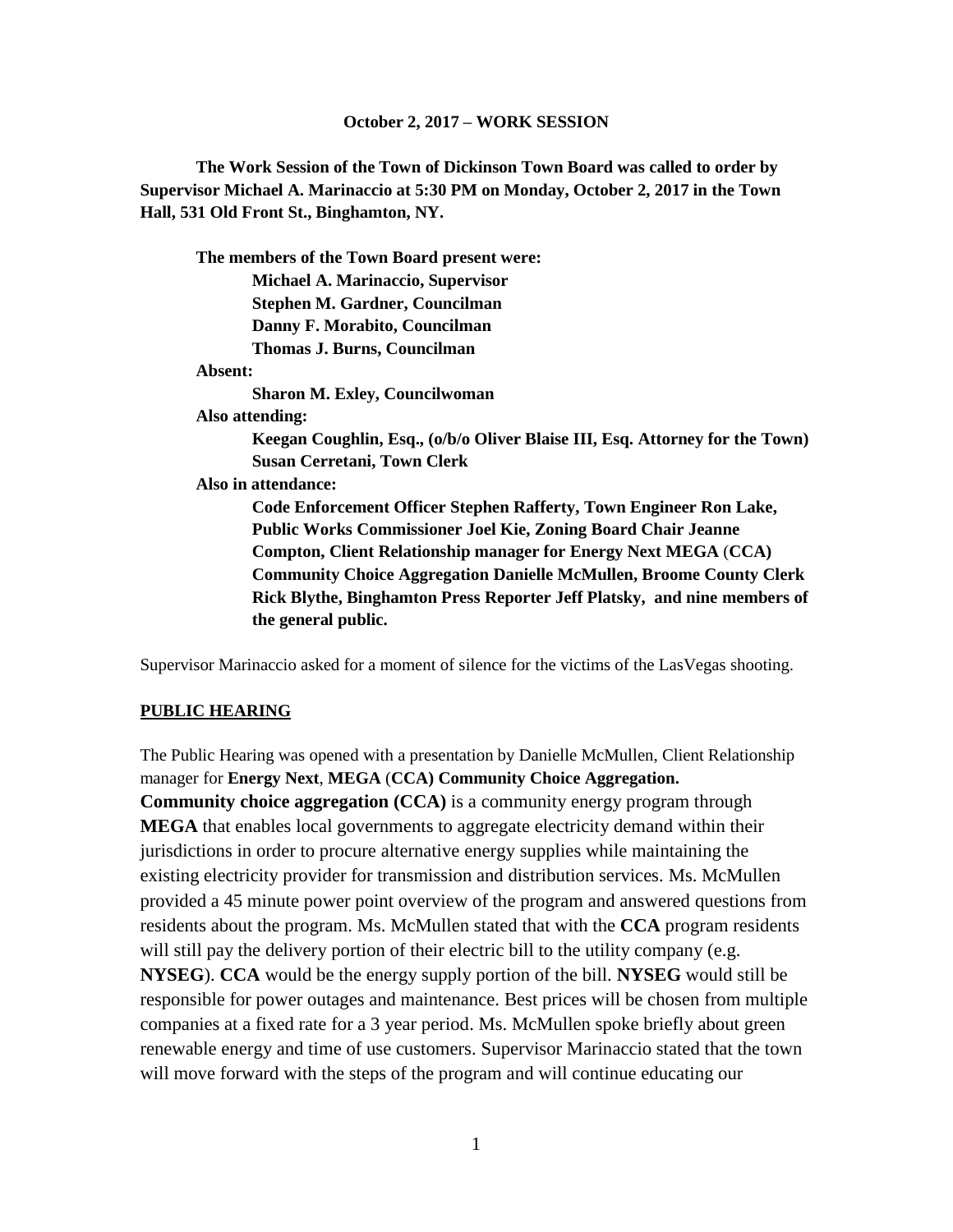#### **October 2, 2017 – WORK SESSION**

**The Work Session of the Town of Dickinson Town Board was called to order by Supervisor Michael A. Marinaccio at 5:30 PM on Monday, October 2, 2017 in the Town Hall, 531 Old Front St., Binghamton, NY.**

**The members of the Town Board present were: Michael A. Marinaccio, Supervisor Stephen M. Gardner, Councilman Danny F. Morabito, Councilman Thomas J. Burns, Councilman Absent: Sharon M. Exley, Councilwoman Also attending: Keegan Coughlin, Esq., (o/b/o Oliver Blaise III, Esq. Attorney for the Town) Susan Cerretani, Town Clerk Also in attendance: Code Enforcement Officer Stephen Rafferty, Town Engineer Ron Lake, Public Works Commissioner Joel Kie, Zoning Board Chair Jeanne Compton, Client Relationship manager for Energy Next MEGA** (**CCA) Community Choice Aggregation Danielle McMullen, Broome County Clerk Rick Blythe, Binghamton Press Reporter Jeff Platsky, and nine members of the general public.**

Supervisor Marinaccio asked for a moment of silence for the victims of the LasVegas shooting.

#### **PUBLIC HEARING**

The Public Hearing was opened with a presentation by Danielle McMullen, Client Relationship manager for **Energy Next**, **MEGA** (**CCA) Community Choice Aggregation. Community choice aggregation (CCA)** is a community energy program through **MEGA** that enables local governments to aggregate electricity demand within their jurisdictions in order to procure alternative energy supplies while maintaining the existing electricity provider for transmission and distribution services. Ms. McMullen provided a 45 minute power point overview of the program and answered questions from residents about the program. Ms. McMullen stated that with the **CCA** program residents will still pay the delivery portion of their electric bill to the utility company (e.g. **NYSEG**). **CCA** would be the energy supply portion of the bill. **NYSEG** would still be responsible for power outages and maintenance. Best prices will be chosen from multiple companies at a fixed rate for a 3 year period. Ms. McMullen spoke briefly about green renewable energy and time of use customers. Supervisor Marinaccio stated that the town will move forward with the steps of the program and will continue educating our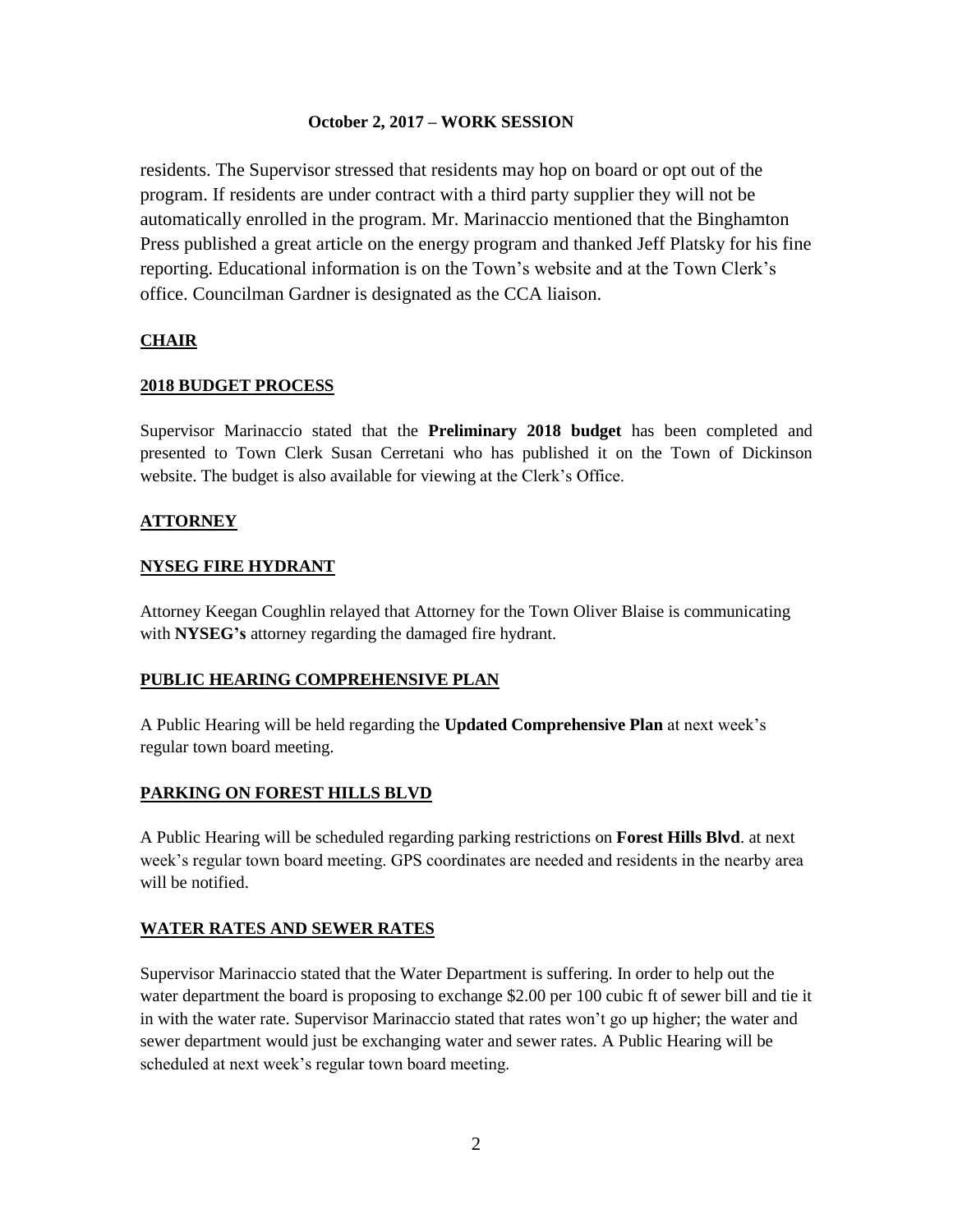#### **October 2, 2017 – WORK SESSION**

residents. The Supervisor stressed that residents may hop on board or opt out of the program. If residents are under contract with a third party supplier they will not be automatically enrolled in the program. Mr. Marinaccio mentioned that the Binghamton Press published a great article on the energy program and thanked Jeff Platsky for his fine reporting. Educational information is on the Town's website and at the Town Clerk's office. Councilman Gardner is designated as the CCA liaison.

## **CHAIR**

# **2018 BUDGET PROCESS**

Supervisor Marinaccio stated that the **Preliminary 2018 budget** has been completed and presented to Town Clerk Susan Cerretani who has published it on the Town of Dickinson website. The budget is also available for viewing at the Clerk's Office.

## **ATTORNEY**

## **NYSEG FIRE HYDRANT**

Attorney Keegan Coughlin relayed that Attorney for the Town Oliver Blaise is communicating with **NYSEG's** attorney regarding the damaged fire hydrant.

## **PUBLIC HEARING COMPREHENSIVE PLAN**

A Public Hearing will be held regarding the **Updated Comprehensive Plan** at next week's regular town board meeting.

## **PARKING ON FOREST HILLS BLVD**

A Public Hearing will be scheduled regarding parking restrictions on **Forest Hills Blvd**. at next week's regular town board meeting. GPS coordinates are needed and residents in the nearby area will be notified.

## **WATER RATES AND SEWER RATES**

Supervisor Marinaccio stated that the Water Department is suffering. In order to help out the water department the board is proposing to exchange \$2.00 per 100 cubic ft of sewer bill and tie it in with the water rate. Supervisor Marinaccio stated that rates won't go up higher; the water and sewer department would just be exchanging water and sewer rates. A Public Hearing will be scheduled at next week's regular town board meeting.